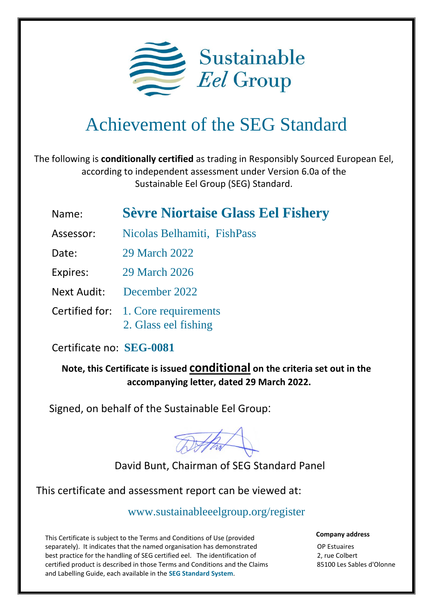

## Achievement of the SEG Standard

The following is **conditionally certified** as trading in Responsibly Sourced European Eel, according to independent assessment under Version 6.0a of the Sustainable Eel Group (SEG) Standard.

## Name: **Sèvre Niortaise Glass Eel Fishery**

- Assessor: Nicolas Belhamiti, FishPass
- Date: 29 March 2022

Expires: 29 March 2026

Next Audit: December 2022

 Certified for: 1. Core requirements 2. Glass eel fishing

## Certificate no: **SEG-0081**

**Note, this Certificate is issued conditional on the criteria set out in the accompanying letter, dated 29 March 2022.**

Signed, on behalf of the Sustainable Eel Group:

DAhar

David Bunt, Chairman of SEG Standard Panel

This certificate and assessment report can be viewed at:

[www.sustainableeelgroup.org/register](http://www.sustainableeelgroup.org/register)

This Certificate is subject to the Terms and Conditions of Use (provided separately). It indicates that the named organisation has demonstrated best practice for the handling of SEG certified eel. The identification of certified product is described in those Terms and Conditions and the Claims and Labelling Guide, each available in the **[SEG Standard System](https://www.sustainableeelgroup.org/the-seg-standard-system/)**.

**Company address**

OP Estuaires 2, rue Colbert 85100 Les Sables d'Olonne